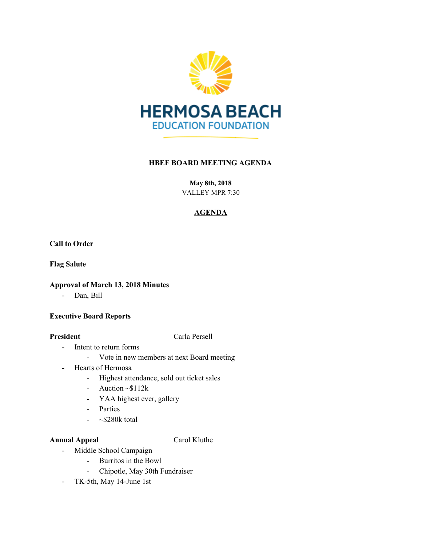

## **HBEF BOARD MEETING AGENDA**

**May 8th, 2018** VALLEY MPR 7:30

# **AGENDA**

**Call to Order**

**Flag Salute**

## **Approval of March 13, 2018 Minutes**

- Dan, Bill

### **Executive Board Reports**

**President** Carla Persell

- Intent to return forms
	- Vote in new members at next Board meeting
- Hearts of Hermosa
	- Highest attendance, sold out ticket sales
	- Auction  $\sim$ \$112k
	- YAA highest ever, gallery
	- Parties
	- $\sim$ \$280 $k$  total

## **Annual Appeal** Carol Kluthe

- Middle School Campaign
	- Burritos in the Bowl
	- Chipotle, May 30th Fundraiser
- TK-5th, May 14-June 1st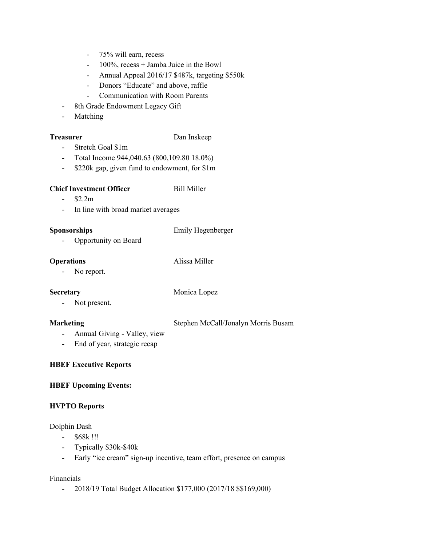- 75% will earn, recess
- 100%, recess + Jamba Juice in the Bowl
- Annual Appeal 2016/17 \$487k, targeting \$550k
- Donors "Educate" and above, raffle
- Communication with Room Parents
- 8th Grade Endowment Legacy Gift
- Matching

## **Treasurer** Dan Inskeep

- Stretch Goal \$1m
- Total Income 944,040.63 (800,109.80 18.0%)
- \$220k gap, given fund to endowment, for \$1m

### **Chief Investment Officer** Bill Miller

- $-$  \$2.2m
- In line with broad market averages

### **Sponsorships** Emily Hegenberger

- Opportunity on Board

### **Operations** Alissa Miller

- No report.

**Secretary** Monica Lopez

- Not present.

**Marketing** Stephen McCall/Jonalyn Morris Busam

- Annual Giving Valley, view
- End of year, strategic recap

### **HBEF Executive Reports**

### **HBEF Upcoming Events:**

### **HVPTO Reports**

Dolphin Dash

- \$68k !!!
- Typically \$30k-\$40k
- Early "ice cream" sign-up incentive, team effort, presence on campus

### Financials

- 2018/19 Total Budget Allocation \$177,000 (2017/18 \$\$169,000)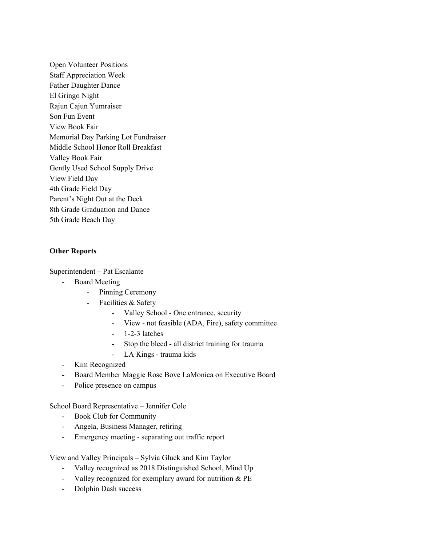Open Volunteer Positions Staff Appreciation Week Father Daughter Dance El Gringo Night Rajun Cajun Yumraiser Son Fun Event View Book Fair Memorial Day Parking Lot Fundraiser Middle School Honor Roll Breakfast Valley Book Fair Gently Used School Supply Drive View Field Day 4th Grade Field Day Parent's Night Out at the Deck 8th Grade Graduation and Dance 5th Grade Beach Day

### **Other Reports**

Superintendent – Pat Escalante

- Board Meeting
	- Pinning Ceremony
	- Facilities & Safety
		- Valley School One entrance, security
		- View not feasible (ADA, Fire), safety committee
		- $1-2-3$  latches
		- Stop the bleed all district training for trauma
		- LA Kings trauma kids
- Kim Recognized
- Board Member Maggie Rose Bove LaMonica on Executive Board
- Police presence on campus

School Board Representative – Jennifer Cole

- Book Club for Community
- Angela, Business Manager, retiring
- Emergency meeting separating out traffic report

View and Valley Principals – Sylvia Gluck and Kim Taylor

- Valley recognized as 2018 Distinguished School, Mind Up
- Valley recognized for exemplary award for nutrition & PE
- Dolphin Dash success